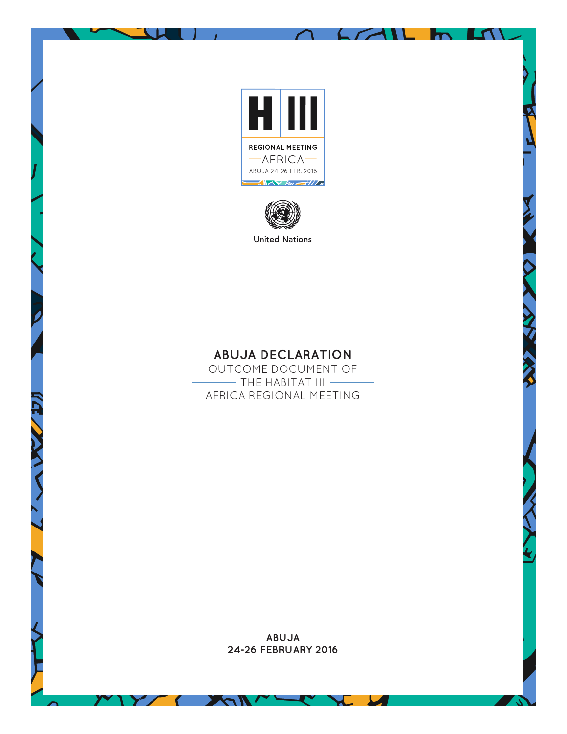

 $L \times 11$ 

LA \



**United Nations** 

## **ABUJA DECLARATION**

OUTCOME DOCUMENT OF  $-$  The Habitat III  $-$ AFRICA REGIONAL MEETING

> **ABUJA 24-26 FEBRUARY 2016**

> > J

А

 $\epsilon$ 

Na N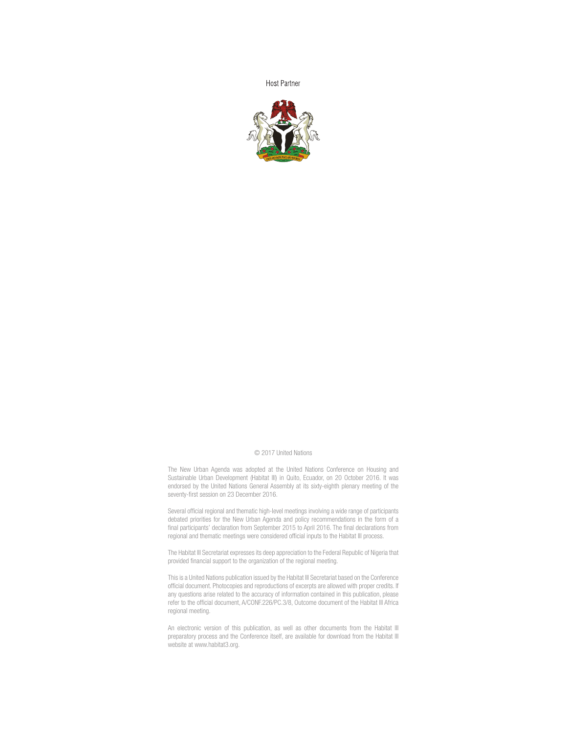**Host Partner** 



## © 2017 United Nations

The New Urban Agenda was adopted at the United Nations Conference on Housing and Sustainable Urban Development (Habitat III) in Quito, Ecuador, on 20 October 2016. It was endorsed by the United Nations General Assembly at its sixty-eighth plenary meeting of the seventy-first session on 23 December 2016.

Several official regional and thematic high-level meetings involving a wide range of participants debated priorities for the New Urban Agenda and policy recommendations in the form of a final participants' declaration from September 2015 to April 2016. The final declarations from regional and thematic meetings were considered official inputs to the Habitat III process.

The Habitat III Secretariat expresses its deep appreciation to the Federal Republic of Nigeria that provided financial support to the organization of the regional meeting.

This is a United Nations publication issued by the Habitat III Secretariat based on the Conference official document. Photocopies and reproductions of excerpts are allowed with proper credits. If any questions arise related to the accuracy of information contained in this publication, please refer to the official document, A/CONF.226/PC.3/8, Outcome document of the Habitat III Africa regional meeting.

An electronic version of this publication, as well as other documents from the Habitat III preparatory process and the Conference itself, are available for download from the Habitat III website at www.habitat3.org.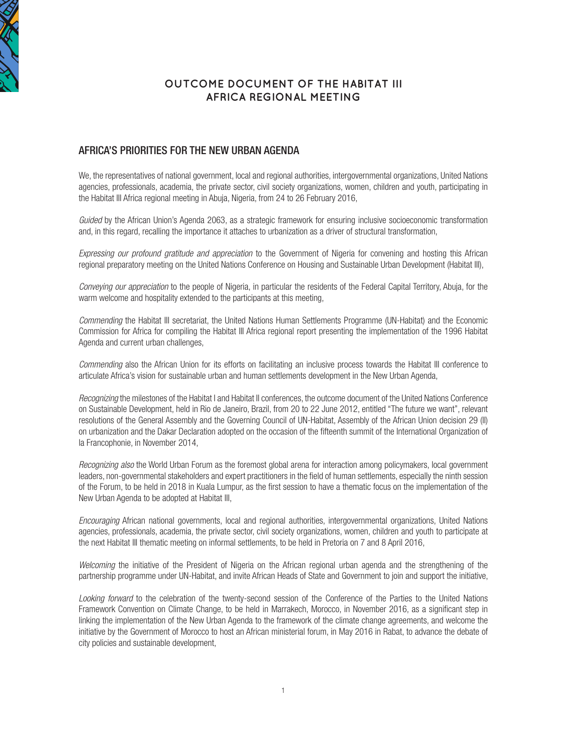

## **OUTCOME DOCUMENT OF THE HABITAT III AFRICA REGIONAL MEETING**

## AFRICA'S PRIORITIES FOR THE NEW URBAN AGENDA

We, the representatives of national government, local and regional authorities, intergovernmental organizations, United Nations agencies, professionals, academia, the private sector, civil society organizations, women, children and youth, participating in the Habitat III Africa regional meeting in Abuja, Nigeria, from 24 to 26 February 2016,

*Guided* by the African Union's Agenda 2063, as a strategic framework for ensuring inclusive socioeconomic transformation and, in this regard, recalling the importance it attaches to urbanization as a driver of structural transformation,

*Expressing our profound gratitude and appreciation* to the Government of Nigeria for convening and hosting this African regional preparatory meeting on the United Nations Conference on Housing and Sustainable Urban Development (Habitat III),

*Conveying our appreciation* to the people of Nigeria, in particular the residents of the Federal Capital Territory, Abuja, for the warm welcome and hospitality extended to the participants at this meeting,

*Commending* the Habitat III secretariat, the United Nations Human Settlements Programme (UN-Habitat) and the Economic Commission for Africa for compiling the Habitat III Africa regional report presenting the implementation of the 1996 Habitat Agenda and current urban challenges,

*Commending* also the African Union for its efforts on facilitating an inclusive process towards the Habitat III conference to articulate Africa's vision for sustainable urban and human settlements development in the New Urban Agenda,

*Recognizing* the milestones of the Habitat I and Habitat II conferences, the outcome document of the United Nations Conference on Sustainable Development, held in Rio de Janeiro, Brazil, from 20 to 22 June 2012, entitled "The future we want", relevant resolutions of the General Assembly and the Governing Council of UN-Habitat, Assembly of the African Union decision 29 (II) on urbanization and the Dakar Declaration adopted on the occasion of the fifteenth summit of the International Organization of la Francophonie, in November 2014,

*Recognizing also* the World Urban Forum as the foremost global arena for interaction among policymakers, local government leaders, non-governmental stakeholders and expert practitioners in the field of human settlements, especially the ninth session of the Forum, to be held in 2018 in Kuala Lumpur, as the first session to have a thematic focus on the implementation of the New Urban Agenda to be adopted at Habitat III,

*Encouraging* African national governments, local and regional authorities, intergovernmental organizations, United Nations agencies, professionals, academia, the private sector, civil society organizations, women, children and youth to participate at the next Habitat III thematic meeting on informal settlements, to be held in Pretoria on 7 and 8 April 2016,

*Welcoming* the initiative of the President of Nigeria on the African regional urban agenda and the strengthening of the partnership programme under UN-Habitat, and invite African Heads of State and Government to join and support the initiative,

*Looking forward* to the celebration of the twenty-second session of the Conference of the Parties to the United Nations Framework Convention on Climate Change, to be held in Marrakech, Morocco, in November 2016, as a significant step in linking the implementation of the New Urban Agenda to the framework of the climate change agreements, and welcome the initiative by the Government of Morocco to host an African ministerial forum, in May 2016 in Rabat, to advance the debate of city policies and sustainable development,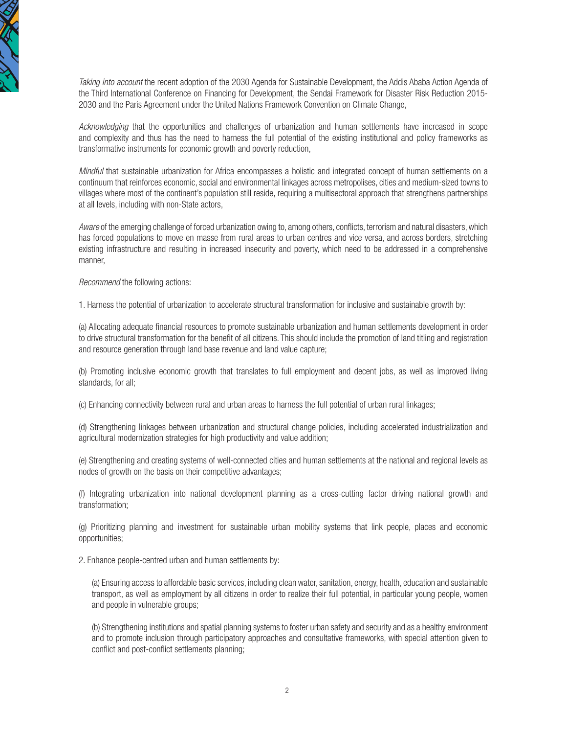

*Taking into account* the recent adoption of the 2030 Agenda for Sustainable Development, the Addis Ababa Action Agenda of the Third International Conference on Financing for Development, the Sendai Framework for Disaster Risk Reduction 2015- 2030 and the Paris Agreement under the United Nations Framework Convention on Climate Change,

*Acknowledging* that the opportunities and challenges of urbanization and human settlements have increased in scope and complexity and thus has the need to harness the full potential of the existing institutional and policy frameworks as transformative instruments for economic growth and poverty reduction,

*Mindful* that sustainable urbanization for Africa encompasses a holistic and integrated concept of human settlements on a continuum that reinforces economic, social and environmental linkages across metropolises, cities and medium-sized towns to villages where most of the continent's population still reside, requiring a multisectoral approach that strengthens partnerships at all levels, including with non-State actors,

*Aware* of the emerging challenge of forced urbanization owing to, among others, conflicts, terrorism and natural disasters, which has forced populations to move en masse from rural areas to urban centres and vice versa, and across borders, stretching existing infrastructure and resulting in increased insecurity and poverty, which need to be addressed in a comprehensive manner,

*Recommend* the following actions:

1. Harness the potential of urbanization to accelerate structural transformation for inclusive and sustainable growth by:

(a) Allocating adequate financial resources to promote sustainable urbanization and human settlements development in order to drive structural transformation for the benefit of all citizens. This should include the promotion of land titling and registration and resource generation through land base revenue and land value capture;

(b) Promoting inclusive economic growth that translates to full employment and decent jobs, as well as improved living standards, for all;

(c) Enhancing connectivity between rural and urban areas to harness the full potential of urban rural linkages;

(d) Strengthening linkages between urbanization and structural change policies, including accelerated industrialization and agricultural modernization strategies for high productivity and value addition;

(e) Strengthening and creating systems of well-connected cities and human settlements at the national and regional levels as nodes of growth on the basis on their competitive advantages;

(f) Integrating urbanization into national development planning as a cross-cutting factor driving national growth and transformation;

(g) Prioritizing planning and investment for sustainable urban mobility systems that link people, places and economic opportunities;

2. Enhance people-centred urban and human settlements by:

(a) Ensuring access to affordable basic services, including clean water, sanitation, energy, health, education and sustainable transport, as well as employment by all citizens in order to realize their full potential, in particular young people, women and people in vulnerable groups;

(b) Strengthening institutions and spatial planning systems to foster urban safety and security and as a healthy environment and to promote inclusion through participatory approaches and consultative frameworks, with special attention given to conflict and post-conflict settlements planning;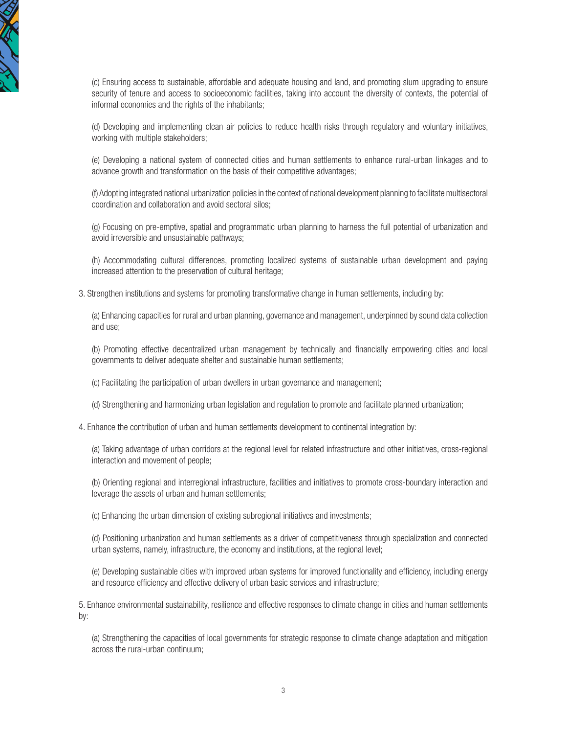

(c) Ensuring access to sustainable, affordable and adequate housing and land, and promoting slum upgrading to ensure security of tenure and access to socioeconomic facilities, taking into account the diversity of contexts, the potential of informal economies and the rights of the inhabitants:

(d) Developing and implementing clean air policies to reduce health risks through regulatory and voluntary initiatives, working with multiple stakeholders;

(e) Developing a national system of connected cities and human settlements to enhance rural-urban linkages and to advance growth and transformation on the basis of their competitive advantages;

(f) Adopting integrated national urbanization policies in the context of national development planning to facilitate multisectoral coordination and collaboration and avoid sectoral silos;

(g) Focusing on pre-emptive, spatial and programmatic urban planning to harness the full potential of urbanization and avoid irreversible and unsustainable pathways;

(h) Accommodating cultural differences, promoting localized systems of sustainable urban development and paying increased attention to the preservation of cultural heritage;

3. Strengthen institutions and systems for promoting transformative change in human settlements, including by:

(a) Enhancing capacities for rural and urban planning, governance and management, underpinned by sound data collection and use;

(b) Promoting effective decentralized urban management by technically and financially empowering cities and local governments to deliver adequate shelter and sustainable human settlements;

(c) Facilitating the participation of urban dwellers in urban governance and management;

(d) Strengthening and harmonizing urban legislation and regulation to promote and facilitate planned urbanization;

4. Enhance the contribution of urban and human settlements development to continental integration by:

(a) Taking advantage of urban corridors at the regional level for related infrastructure and other initiatives, cross-regional interaction and movement of people;

(b) Orienting regional and interregional infrastructure, facilities and initiatives to promote cross-boundary interaction and leverage the assets of urban and human settlements;

(c) Enhancing the urban dimension of existing subregional initiatives and investments;

(d) Positioning urbanization and human settlements as a driver of competitiveness through specialization and connected urban systems, namely, infrastructure, the economy and institutions, at the regional level;

(e) Developing sustainable cities with improved urban systems for improved functionality and efficiency, including energy and resource efficiency and effective delivery of urban basic services and infrastructure;

5. Enhance environmental sustainability, resilience and effective responses to climate change in cities and human settlements by:

(a) Strengthening the capacities of local governments for strategic response to climate change adaptation and mitigation across the rural-urban continuum;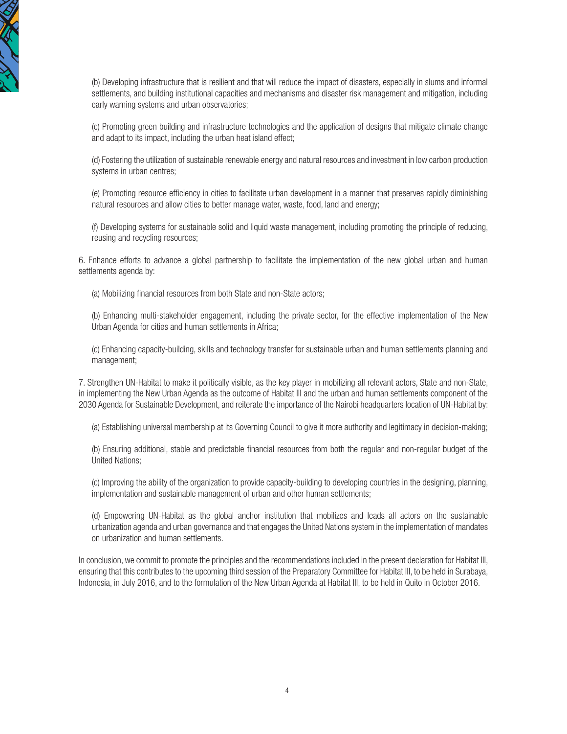

(b) Developing infrastructure that is resilient and that will reduce the impact of disasters, especially in slums and informal settlements, and building institutional capacities and mechanisms and disaster risk management and mitigation, including early warning systems and urban observatories;

(c) Promoting green building and infrastructure technologies and the application of designs that mitigate climate change and adapt to its impact, including the urban heat island effect;

(d) Fostering the utilization of sustainable renewable energy and natural resources and investment in low carbon production systems in urban centres;

(e) Promoting resource efficiency in cities to facilitate urban development in a manner that preserves rapidly diminishing natural resources and allow cities to better manage water, waste, food, land and energy;

(f) Developing systems for sustainable solid and liquid waste management, including promoting the principle of reducing, reusing and recycling resources;

6. Enhance efforts to advance a global partnership to facilitate the implementation of the new global urban and human settlements agenda by:

(a) Mobilizing financial resources from both State and non-State actors;

(b) Enhancing multi-stakeholder engagement, including the private sector, for the effective implementation of the New Urban Agenda for cities and human settlements in Africa;

(c) Enhancing capacity-building, skills and technology transfer for sustainable urban and human settlements planning and management;

7. Strengthen UN-Habitat to make it politically visible, as the key player in mobilizing all relevant actors, State and non-State, in implementing the New Urban Agenda as the outcome of Habitat III and the urban and human settlements component of the 2030 Agenda for Sustainable Development, and reiterate the importance of the Nairobi headquarters location of UN-Habitat by:

(a) Establishing universal membership at its Governing Council to give it more authority and legitimacy in decision-making;

(b) Ensuring additional, stable and predictable financial resources from both the regular and non-regular budget of the United Nations;

(c) Improving the ability of the organization to provide capacity-building to developing countries in the designing, planning, implementation and sustainable management of urban and other human settlements;

(d) Empowering UN-Habitat as the global anchor institution that mobilizes and leads all actors on the sustainable urbanization agenda and urban governance and that engages the United Nations system in the implementation of mandates on urbanization and human settlements.

In conclusion, we commit to promote the principles and the recommendations included in the present declaration for Habitat III, ensuring that this contributes to the upcoming third session of the Preparatory Committee for Habitat III, to be held in Surabaya, Indonesia, in July 2016, and to the formulation of the New Urban Agenda at Habitat III, to be held in Quito in October 2016.